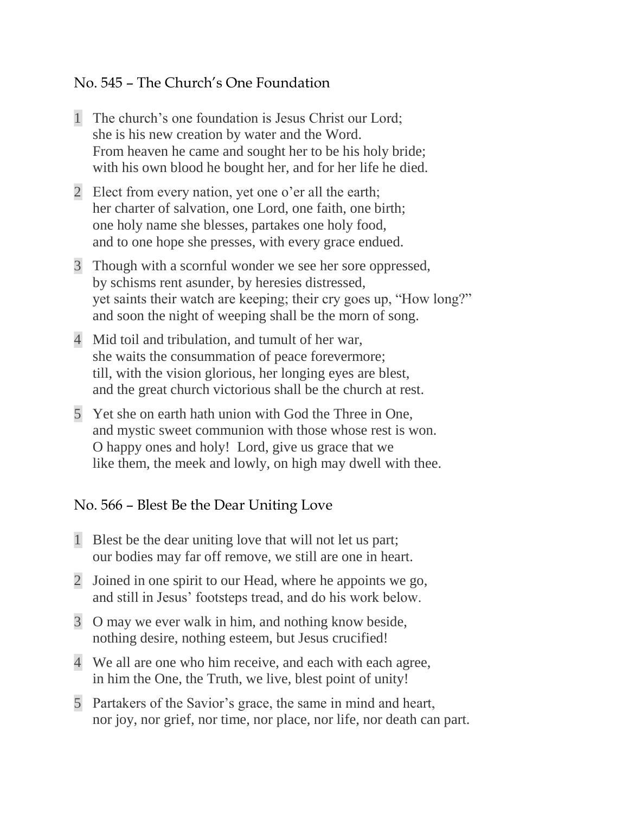## No. 545 – The Church's One Foundation

- 1 The church's one foundation is Jesus Christ our Lord; she is his new creation by water and the Word. From heaven he came and sought her to be his holy bride; with his own blood he bought her, and for her life he died.
- 2 Elect from every nation, yet one o'er all the earth; her charter of salvation, one Lord, one faith, one birth; one holy name she blesses, partakes one holy food, and to one hope she presses, with every grace endued.
- 3 Though with a scornful wonder we see her sore oppressed, by schisms rent asunder, by heresies distressed, yet saints their watch are keeping; their cry goes up, "How long?" and soon the night of weeping shall be the morn of song.
- 4 Mid toil and tribulation, and tumult of her war, she waits the consummation of peace forevermore; till, with the vision glorious, her longing eyes are blest, and the great church victorious shall be the church at rest.
- 5 Yet she on earth hath union with God the Three in One, and mystic sweet communion with those whose rest is won. O happy ones and holy! Lord, give us grace that we like them, the meek and lowly, on high may dwell with thee.

## No. 566 – Blest Be the Dear Uniting Love

- 1 Blest be the dear uniting love that will not let us part; our bodies may far off remove, we still are one in heart.
- 2 Joined in one spirit to our Head, where he appoints we go, and still in Jesus' footsteps tread, and do his work below.
- 3 O may we ever walk in him, and nothing know beside, nothing desire, nothing esteem, but Jesus crucified!
- 4 We all are one who him receive, and each with each agree, in him the One, the Truth, we live, blest point of unity!
- 5 Partakers of the Savior's grace, the same in mind and heart, nor joy, nor grief, nor time, nor place, nor life, nor death can part.